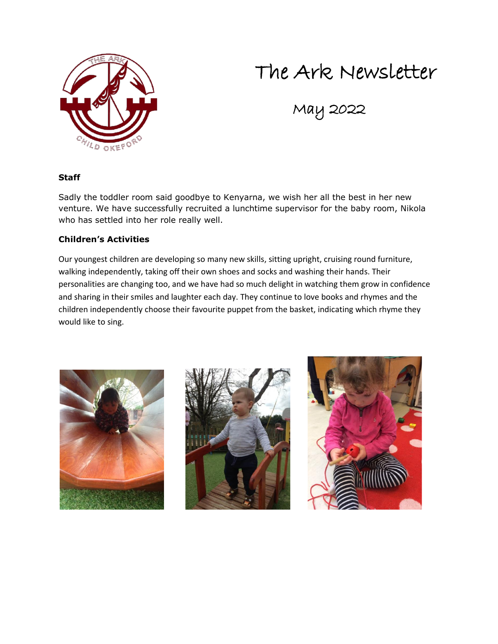### The Ark Newsletter



# May 2022

#### **Staff**

Sadly the toddler room said goodbye to Kenyarna, we wish her all the best in her new venture. We have successfully recruited a lunchtime supervisor for the baby room, Nikola who has settled into her role really well.

#### **Children's Activities**

Our youngest children are developing so many new skills, sitting upright, cruising round furniture, walking independently, taking off their own shoes and socks and washing their hands. Their personalities are changing too, and we have had so much delight in watching them grow in confidence and sharing in their smiles and laughter each day. They continue to love books and rhymes and the children independently choose their favourite puppet from the basket, indicating which rhyme they would like to sing.





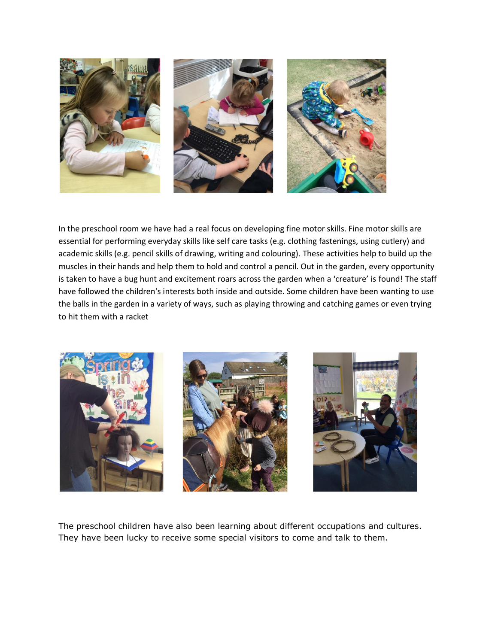

In the preschool room we have had a real focus on developing fine motor skills. Fine motor skills are essential for performing everyday skills like self care tasks (e.g. clothing fastenings, using cutlery) and academic skills (e.g. pencil skills of drawing, writing and colouring). These activities help to build up the muscles in their hands and help them to hold and control a pencil. Out in the garden, every opportunity is taken to have a bug hunt and excitement roars across the garden when a 'creature' is found! The staff have followed the children's interests both inside and outside. Some children have been wanting to use the balls in the garden in a variety of ways, such as playing throwing and catching games or even trying to hit them with a racket



The preschool children have also been learning about different occupations and cultures. They have been lucky to receive some special visitors to come and talk to them.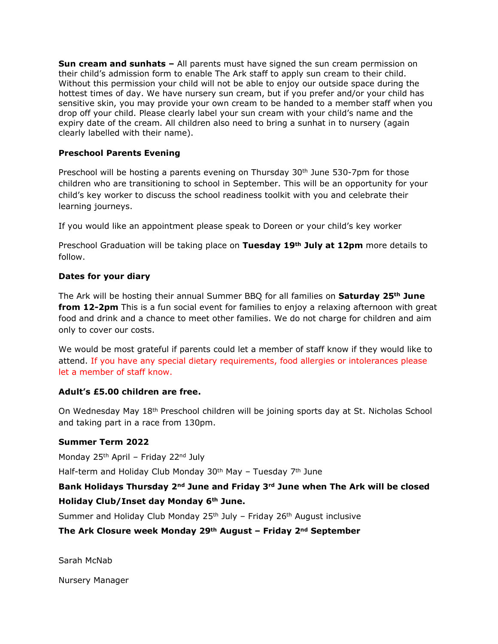**Sun cream and sunhats –** All parents must have signed the sun cream permission on their child's admission form to enable The Ark staff to apply sun cream to their child. Without this permission your child will not be able to enjoy our outside space during the hottest times of day. We have nursery sun cream, but if you prefer and/or your child has sensitive skin, you may provide your own cream to be handed to a member staff when you drop off your child. Please clearly label your sun cream with your child's name and the expiry date of the cream. All children also need to bring a sunhat in to nursery (again clearly labelled with their name).

#### **Preschool Parents Evening**

Preschool will be hosting a parents evening on Thursday 30th June 530-7pm for those children who are transitioning to school in September. This will be an opportunity for your child's key worker to discuss the school readiness toolkit with you and celebrate their learning journeys.

If you would like an appointment please speak to Doreen or your child's key worker

Preschool Graduation will be taking place on **Tuesday 19th July at 12pm** more details to follow.

#### **Dates for your diary**

The Ark will be hosting their annual Summer BBQ for all families on **Saturday 25th June from 12-2pm** This is a fun social event for families to enjoy a relaxing afternoon with great food and drink and a chance to meet other families. We do not charge for children and aim only to cover our costs.

We would be most grateful if parents could let a member of staff know if they would like to attend. If you have any special dietary requirements, food allergies or intolerances please let a member of staff know.

#### **Adult's £5.00 children are free.**

On Wednesday May 18th Preschool children will be joining sports day at St. Nicholas School and taking part in a race from 130pm.

#### **Summer Term 2022**

Monday 25<sup>th</sup> April – Friday 22<sup>nd</sup> July

Half-term and Holiday Club Monday  $30<sup>th</sup>$  May – Tuesday  $7<sup>th</sup>$  June

#### **Bank Holidays Thursday 2nd June and Friday 3rd June when The Ark will be closed Holiday Club/Inset day Monday 6th June.**

Summer and Holiday Club Monday  $25<sup>th</sup>$  July – Friday  $26<sup>th</sup>$  August inclusive

#### **The Ark Closure week Monday 29th August – Friday 2nd September**

Sarah McNab

Nursery Manager